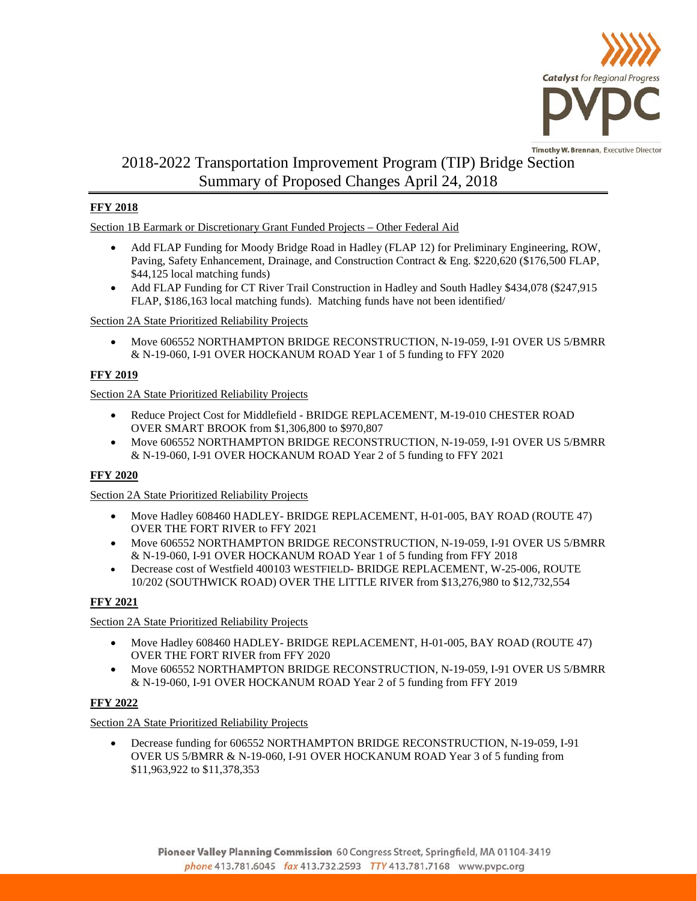

# 2018-2022 Transportation Improvement Program (TIP) Bridge Section Summary of Proposed Changes April 24, 2018

## **FFY 2018**

Section 1B Earmark or Discretionary Grant Funded Projects – Other Federal Aid

- Add FLAP Funding for Moody Bridge Road in Hadley (FLAP 12) for Preliminary Engineering, ROW, Paving, Safety Enhancement, Drainage, and Construction Contract & Eng. \$220,620 (\$176,500 FLAP, \$44,125 local matching funds)
- Add FLAP Funding for CT River Trail Construction in Hadley and South Hadley \$434,078 (\$247,915 FLAP, \$186,163 local matching funds). Matching funds have not been identified/

## Section 2A State Prioritized Reliability Projects

• Move 606552 NORTHAMPTON BRIDGE RECONSTRUCTION, N-19-059, I-91 OVER US 5/BMRR & N-19-060, I-91 OVER HOCKANUM ROAD Year 1 of 5 funding to FFY 2020

# **FFY 2019**

## Section 2A State Prioritized Reliability Projects

- Reduce Project Cost for Middlefield BRIDGE REPLACEMENT, M-19-010 CHESTER ROAD OVER SMART BROOK from \$1,306,800 to \$970,807
- Move 606552 NORTHAMPTON BRIDGE RECONSTRUCTION, N-19-059, I-91 OVER US 5/BMRR & N-19-060, I-91 OVER HOCKANUM ROAD Year 2 of 5 funding to FFY 2021

# **FFY 2020**

## Section 2A State Prioritized Reliability Projects

- Move Hadley 608460 HADLEY- BRIDGE REPLACEMENT, H-01-005, BAY ROAD (ROUTE 47) OVER THE FORT RIVER to FFY 2021
- Move 606552 NORTHAMPTON BRIDGE RECONSTRUCTION, N-19-059, I-91 OVER US 5/BMRR & N-19-060, I-91 OVER HOCKANUM ROAD Year 1 of 5 funding from FFY 2018
- Decrease cost of Westfield 400103 WESTFIELD- BRIDGE REPLACEMENT, W-25-006, ROUTE 10/202 (SOUTHWICK ROAD) OVER THE LITTLE RIVER from \$13,276,980 to \$12,732,554

## **FFY 2021**

Section 2A State Prioritized Reliability Projects

- Move Hadley 608460 HADLEY- BRIDGE REPLACEMENT, H-01-005, BAY ROAD (ROUTE 47) OVER THE FORT RIVER from FFY 2020
- Move 606552 NORTHAMPTON BRIDGE RECONSTRUCTION, N-19-059, I-91 OVER US 5/BMRR & N-19-060, I-91 OVER HOCKANUM ROAD Year 2 of 5 funding from FFY 2019

## **FFY 2022**

## Section 2A State Prioritized Reliability Projects

• Decrease funding for 606552 NORTHAMPTON BRIDGE RECONSTRUCTION, N-19-059, I-91 OVER US 5/BMRR & N-19-060, I-91 OVER HOCKANUM ROAD Year 3 of 5 funding from \$11,963,922 to \$11,378,353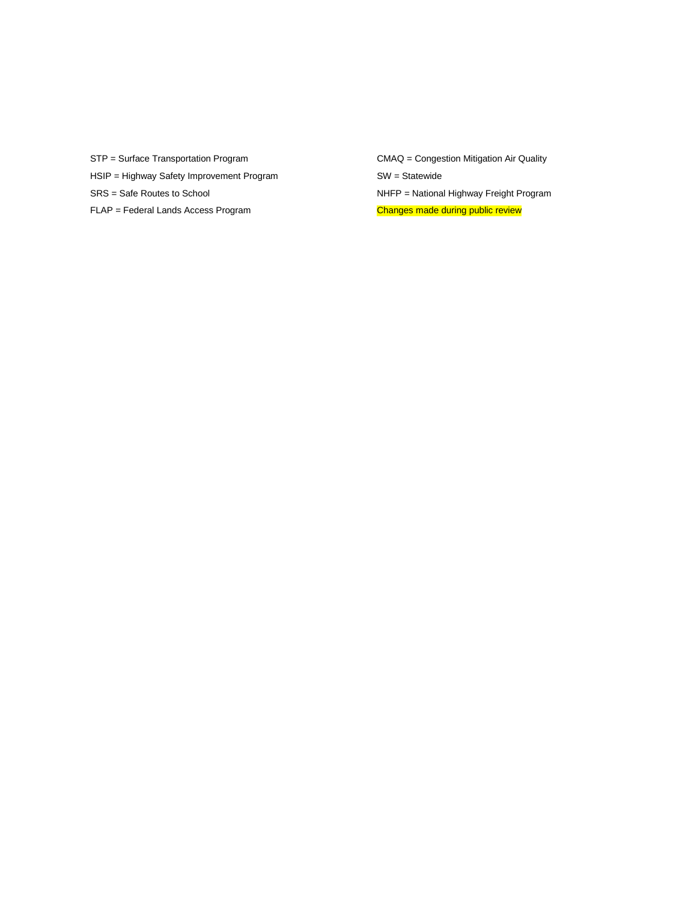STP = Surface Transportation Program CMAQ = Congestion Mitigation Air Quality HSIP = Highway Safety Improvement Program SW = Statewide SRS = Safe Routes to School **NHFP** = National Highway Freight Program

FLAP = Federal Lands Access Program changes made during public review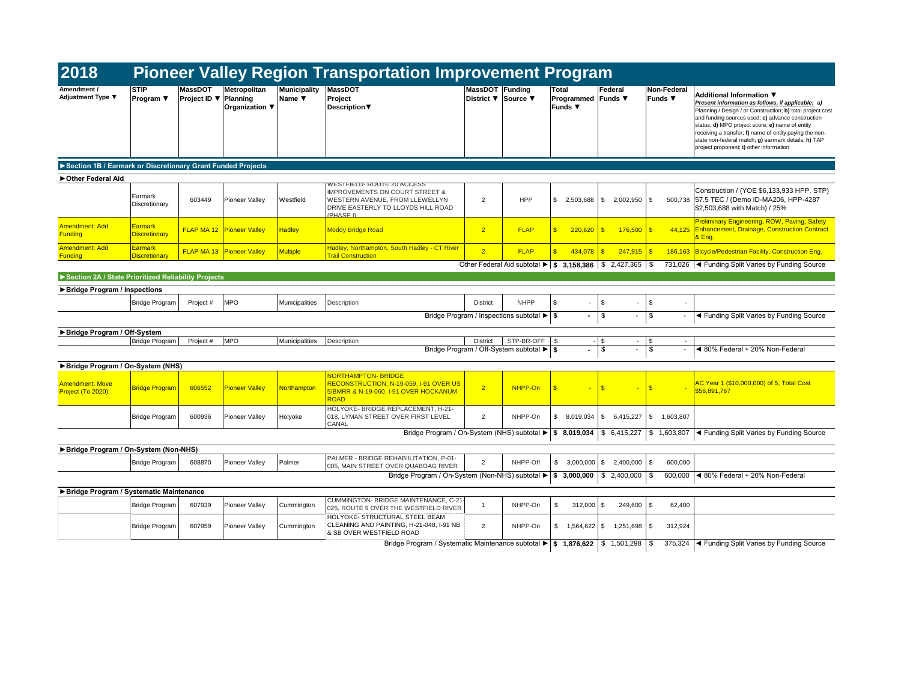| 2018                                                        |                                        |                                |                                            |                               | <b>Pioneer Valley Region Transportation Improvement Program</b>                                                                                                    |                                        |                                           |                                               |                                                                                     |                               |                                                                                                                                                                                                                                                                                                                                                                                                                  |
|-------------------------------------------------------------|----------------------------------------|--------------------------------|--------------------------------------------|-------------------------------|--------------------------------------------------------------------------------------------------------------------------------------------------------------------|----------------------------------------|-------------------------------------------|-----------------------------------------------|-------------------------------------------------------------------------------------|-------------------------------|------------------------------------------------------------------------------------------------------------------------------------------------------------------------------------------------------------------------------------------------------------------------------------------------------------------------------------------------------------------------------------------------------------------|
| Amendment /<br>Adjustment Type ▼                            | <b>STIP</b><br>Program ▼               | <b>MassDOT</b><br>Project ID ▼ | Metropolitan<br>Planning<br>Organization ▼ | <b>Municipality</b><br>Name ▼ | <b>MassDOT</b><br>Project<br>Description                                                                                                                           | MassDOT Funding<br>District ▼ Source ▼ |                                           | Total<br>Programmed Funds ▼<br><b>Funds</b> ▼ | Federal                                                                             | Non-Federal<br><b>Funds ▼</b> | Additional Information ▼<br>Present information as follows, if applicable: a)<br>Planning / Design / or Construction; b) total project cost<br>and funding sources used; c) advance construction<br>status; d) MPO project score; e) name of entity<br>receiving a transfer; f) name of entity paying the non-<br>state non-federal match; g) earmark details; h) TAP<br>project proponent; i) other information |
| Section 1B / Earmark or Discretionary Grant Funded Projects |                                        |                                |                                            |                               |                                                                                                                                                                    |                                        |                                           |                                               |                                                                                     |                               |                                                                                                                                                                                                                                                                                                                                                                                                                  |
| Other Federal Aid                                           |                                        |                                |                                            |                               |                                                                                                                                                                    |                                        |                                           |                                               |                                                                                     |                               |                                                                                                                                                                                                                                                                                                                                                                                                                  |
|                                                             | Earmark<br>Discretionary               | 603449                         | <b>Pioneer Valley</b>                      | Westfield                     | WESTFIELD-ROUTE 20 ACCESS<br><b>IMPROVEMENTS ON COURT STREET &amp;</b><br><b>WESTERN AVENUE, FROM LLEWELLYN</b><br>DRIVE EASTERLY TO LLOYDS HILL ROAD<br>(PHASE I) | $\overline{2}$                         | HPP                                       | \$2,503,688                                   | \$ 2.002.950                                                                        | 500.738<br>\$                 | Construction / (YOE \$6,133,933 HPP, STP)<br>57.5 TEC / (Demo ID-MA206, HPP-4287<br>\$2.503.688 with Match) / 25%                                                                                                                                                                                                                                                                                                |
| Amendment: Add<br><b>Funding</b>                            | Earmark<br><b>Discretionary</b>        |                                | <b>FLAP MA 12 Pioneer Valley</b>           | <b>Hadley</b>                 | <b>Moddy Bridge Road</b>                                                                                                                                           | 2 <sup>7</sup>                         | <b>FLAP</b>                               | $\mathbf{\hat{x}}$<br>220,620                 | $\mathbf{s}$<br>176,500                                                             | $\mathbf{s}$<br>44,125        | <b>Preliminary Engineering, ROW, Paving, Safety</b><br><b>Enhancement, Drainage, Construction Contract</b><br>& Eng.                                                                                                                                                                                                                                                                                             |
| Amendment: Add<br><b>Funding</b>                            | <b>Earmark</b><br><b>Discretionary</b> |                                | <b>FLAP MA 13 Pioneer Valley</b>           | <b>Multiple</b>               | Hadley, Northampton, South Hadley - CT River<br><b>Trail Construction</b>                                                                                          | $\overline{2}$                         | <b>FLAP</b>                               | 434,078                                       | 247,915<br>$\mathbf{R}$                                                             | $\mathbf{s}$<br>186.163       | Bicycle/Pedestrian Facility, Construction Eng.                                                                                                                                                                                                                                                                                                                                                                   |
|                                                             |                                        |                                |                                            |                               |                                                                                                                                                                    |                                        |                                           |                                               | Other Federal Aid subtotal $\blacktriangleright$   \$ 3,158,386   \$ 2,427,365   \$ |                               | 731,026   Funding Split Varies by Funding Source                                                                                                                                                                                                                                                                                                                                                                 |
| Section 2A / State Prioritized Reliability Projects         |                                        |                                |                                            |                               |                                                                                                                                                                    |                                        |                                           |                                               |                                                                                     |                               |                                                                                                                                                                                                                                                                                                                                                                                                                  |
| Bridge Program / Inspections                                |                                        |                                |                                            |                               |                                                                                                                                                                    |                                        |                                           |                                               |                                                                                     |                               |                                                                                                                                                                                                                                                                                                                                                                                                                  |
|                                                             | <b>Bridge Program</b>                  | Project #                      | <b>MPO</b>                                 | Municipalities                | Description                                                                                                                                                        | <b>District</b>                        | <b>NHPP</b>                               | $\mathbf{s}$                                  | \$                                                                                  | \$                            |                                                                                                                                                                                                                                                                                                                                                                                                                  |
|                                                             |                                        |                                |                                            |                               |                                                                                                                                                                    |                                        | Bridge Program / Inspections subtotal ▶ S |                                               | \$<br>$\overline{a}$                                                                | \$                            | ◀ Funding Split Varies by Funding Source                                                                                                                                                                                                                                                                                                                                                                         |
|                                                             |                                        |                                |                                            |                               |                                                                                                                                                                    |                                        |                                           |                                               |                                                                                     |                               |                                                                                                                                                                                                                                                                                                                                                                                                                  |
| Bridge Program / Off-System                                 | Bridge Program                         | Project#                       | <b>IMPO</b>                                | Municipalities                | Description                                                                                                                                                        | <b>District</b>                        | STP-BR-OFF \$                             |                                               | \$<br>$\sim$                                                                        | \$<br>$\sim$                  |                                                                                                                                                                                                                                                                                                                                                                                                                  |
|                                                             |                                        |                                |                                            |                               |                                                                                                                                                                    |                                        | Bridge Program / Off-System subtotal ▶ S  |                                               | \$<br>$\overline{\phantom{a}}$                                                      | \$                            | ◀ 80% Federal + 20% Non-Federal                                                                                                                                                                                                                                                                                                                                                                                  |
|                                                             |                                        |                                |                                            |                               |                                                                                                                                                                    |                                        |                                           |                                               |                                                                                     |                               |                                                                                                                                                                                                                                                                                                                                                                                                                  |
| Bridge Program / On-System (NHS)                            |                                        |                                |                                            |                               | <b>NORTHAMPTON-BRIDGE</b>                                                                                                                                          |                                        |                                           |                                               |                                                                                     |                               |                                                                                                                                                                                                                                                                                                                                                                                                                  |
| <b>Amendment: Move</b><br>Project (To 2020)                 | <b>Bridge Program</b>                  | 606552                         | Pioneer Valley                             | <b>Northampton</b>            | RECONSTRUCTION, N-19-059, I-91 OVER US<br>5/BMRR & N-19-060, I-91 OVER HOCKANUM<br><b>ROAD</b>                                                                     | $\overline{2}$                         | NHPP-On                                   | $\mathbf{\hat{x}}$                            | <sub>\$</sub>                                                                       | $\mathbf{s}$                  | AC Year 1 (\$10,000,000) of 5, Total Cost<br>\$56,891,767                                                                                                                                                                                                                                                                                                                                                        |
|                                                             | <b>Bridge Program</b>                  | 600936                         | <b>Pioneer Vallev</b>                      | Holyoke                       | HOLYOKE- BRIDGE REPLACEMENT. H-21-<br>018. LYMAN STREET OVER FIRST LEVEL<br>CANAL                                                                                  | 2                                      | NHPP-On                                   | \$<br>8.019.034                               | \$6,415,227                                                                         | \$1,603,807                   |                                                                                                                                                                                                                                                                                                                                                                                                                  |
|                                                             |                                        |                                |                                            |                               | Bridge Program / On-System (NHS) subtotal > \$ 8,019,034                                                                                                           |                                        |                                           |                                               | \$6,415,227                                                                         | \$1,603,807                   | ◀ Funding Split Varies by Funding Source                                                                                                                                                                                                                                                                                                                                                                         |
| Bridge Program / On-System (Non-NHS)                        |                                        |                                |                                            |                               |                                                                                                                                                                    |                                        |                                           |                                               |                                                                                     |                               |                                                                                                                                                                                                                                                                                                                                                                                                                  |
|                                                             | <b>Bridge Program</b>                  | 608870                         | <b>Pioneer Valley</b>                      | Palmer                        | PALMER - BRIDGE REHABIILITATION, P-01-<br>005, MAIN STREET OVER QUABOAG RIVER                                                                                      | $\overline{2}$                         | NHPP-Off                                  | \$3.000.000                                   | $\frac{1}{2}$<br>2,400,000                                                          | \$<br>600,000                 |                                                                                                                                                                                                                                                                                                                                                                                                                  |
|                                                             |                                        |                                |                                            |                               | Bridge Program / On-System (Non-NHS) subtotal $\blacktriangleright$                                                                                                |                                        |                                           | \$3,000,000                                   | \$2,400,000                                                                         | \$<br>600,000                 | ◀ 80% Federal + 20% Non-Federal                                                                                                                                                                                                                                                                                                                                                                                  |
| Bridge Program / Systematic Maintenance                     |                                        |                                |                                            |                               |                                                                                                                                                                    |                                        |                                           |                                               |                                                                                     |                               |                                                                                                                                                                                                                                                                                                                                                                                                                  |
|                                                             |                                        |                                |                                            |                               | CUMMINGTON- BRIDGE MAINTENANCE, C-21                                                                                                                               | 1                                      | NHPP-On                                   | \$                                            | \$.                                                                                 | \$                            |                                                                                                                                                                                                                                                                                                                                                                                                                  |
|                                                             | <b>Bridge Program</b>                  | 607939                         | <b>Pioneer Valley</b>                      | Cummington                    | 025, ROUTE 9 OVER THE WESTFIELD RIVER                                                                                                                              |                                        |                                           | 312,000                                       | 249,600                                                                             | 62,400                        |                                                                                                                                                                                                                                                                                                                                                                                                                  |
|                                                             | <b>Bridge Program</b>                  | 607959                         | <b>Pioneer Valley</b>                      | Cummington                    | HOLYOKE- STRUCTURAL STEEL BEAM<br>CLEANING AND PAINTING, H-21-048, I-91 NB<br>& SB OVER WESTFIELD ROAD                                                             | $\overline{2}$                         | NHPP-On                                   | \$1,564,622                                   | \$ 1,251,698                                                                        | $\mathbb{S}$<br>312,924       |                                                                                                                                                                                                                                                                                                                                                                                                                  |
|                                                             |                                        |                                |                                            |                               | Bridge Program / Systematic Maintenance subtotal $\blacktriangleright$   \$ 1,876,622   \$ 1,501,298   \$                                                          |                                        |                                           |                                               |                                                                                     |                               | 375,324 < Funding Split Varies by Funding Source                                                                                                                                                                                                                                                                                                                                                                 |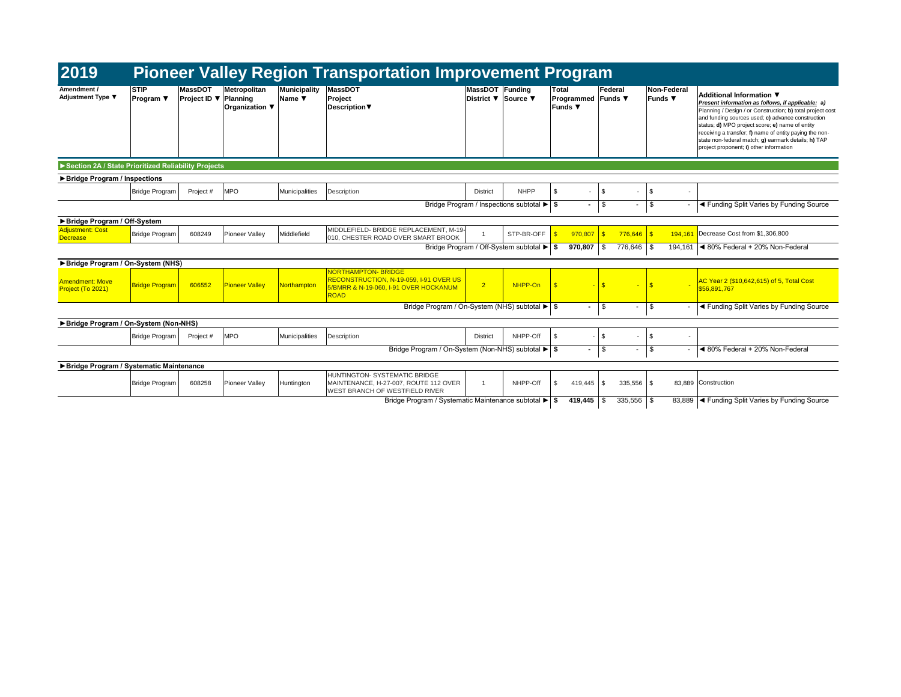| 2019                                                |                          |                                         |                                |                               | <b>Pioneer Valley Region Transportation Improvement Program</b>                                                             |                                        |                                           |                                             |                          |              |                          |              |                          |                                                                                                                                                                                                                                                                                                                                                                                                                  |
|-----------------------------------------------------|--------------------------|-----------------------------------------|--------------------------------|-------------------------------|-----------------------------------------------------------------------------------------------------------------------------|----------------------------------------|-------------------------------------------|---------------------------------------------|--------------------------|--------------|--------------------------|--------------|--------------------------|------------------------------------------------------------------------------------------------------------------------------------------------------------------------------------------------------------------------------------------------------------------------------------------------------------------------------------------------------------------------------------------------------------------|
| Amendment /<br><b>Adjustment Type ▼</b>             | <b>STIP</b><br>Program ▼ | <b>MassDOT</b><br>Project ID ▼ Planning | Metropolitan<br>Organization ▼ | <b>Municipality</b><br>Name ▼ | <b>MassDOT</b><br>Project<br>Description ▼                                                                                  | MassDOT Funding<br>District ▼ Source ▼ |                                           | Total<br>Programmed Funds ▼<br>Funds $\Psi$ |                          | Federal      |                          | Funds ▼      | Non-Federal              | Additional Information ▼<br>Present information as follows, if applicable: a)<br>Planning / Design / or Construction; b) total project cost<br>and funding sources used; c) advance construction<br>status; d) MPO project score; e) name of entity<br>receiving a transfer; f) name of entity paying the non-<br>state non-federal match; g) earmark details; h) TAP<br>project proponent; i) other information |
| Section 2A / State Prioritized Reliability Projects |                          |                                         |                                |                               |                                                                                                                             |                                        |                                           |                                             |                          |              |                          |              |                          |                                                                                                                                                                                                                                                                                                                                                                                                                  |
| ▶ Bridge Program / Inspections                      |                          |                                         |                                |                               |                                                                                                                             |                                        |                                           |                                             |                          |              |                          |              |                          |                                                                                                                                                                                                                                                                                                                                                                                                                  |
|                                                     | <b>Bridge Program</b>    | Project #                               | <b>MPO</b>                     | Municipalities                | Description                                                                                                                 | <b>District</b>                        | <b>NHPP</b>                               | \$.                                         | $\overline{\phantom{a}}$ | \$           | $\overline{\phantom{a}}$ | <b>S</b>     | ٠                        |                                                                                                                                                                                                                                                                                                                                                                                                                  |
|                                                     |                          |                                         |                                |                               |                                                                                                                             |                                        | Bridge Program / Inspections subtotal ▶ S |                                             |                          | \$           | -                        | $\mathbf{s}$ |                          | ◀ Funding Split Varies by Funding Source                                                                                                                                                                                                                                                                                                                                                                         |
| Bridge Program / Off-System                         |                          |                                         |                                |                               |                                                                                                                             |                                        |                                           |                                             |                          |              |                          |              |                          |                                                                                                                                                                                                                                                                                                                                                                                                                  |
| <b>Adjustment: Cost</b><br><b>Decrease</b>          | Bridge Program           | 608249                                  | <b>Pioneer Valley</b>          | Middlefield                   | MIDDLEFIELD- BRIDGE REPLACEMENT, M-19-<br>010. CHESTER ROAD OVER SMART BROOK                                                |                                        | STP-BR-OFF                                |                                             | 970.807                  | $\mathbf{R}$ | $776,646$ \$             |              | 194.161                  | Decrease Cost from \$1,306,800                                                                                                                                                                                                                                                                                                                                                                                   |
|                                                     |                          |                                         |                                |                               |                                                                                                                             |                                        | Bridge Program / Off-System subtotal ▶ S  |                                             | 970,807                  | \$           | 776.646                  | -9           | 194.161                  | ◀ 80% Federal + 20% Non-Federal                                                                                                                                                                                                                                                                                                                                                                                  |
| Bridge Program / On-System (NHS)                    |                          |                                         |                                |                               |                                                                                                                             |                                        |                                           |                                             |                          |              |                          |              |                          |                                                                                                                                                                                                                                                                                                                                                                                                                  |
| <b>Amendment: Move</b><br>Project (To 2021)         | <b>Bridge Program</b>    | 606552                                  | <b>Pioneer Valley</b>          | Northampton                   | <b>NORTHAMPTON-BRIDGE</b><br>RECONSTRUCTION, N-19-059, I-91 OVER US<br>5/BMRR & N-19-060. I-91 OVER HOCKANUM<br><b>ROAD</b> | $\overline{2}$                         | NHPP-On                                   | $\mathbf{s}$                                |                          | $\mathbf{s}$ | ٠                        | $\mathbf{S}$ |                          | AC Year 2 (\$10,642,615) of 5, Total Cost<br>\$56.891.767                                                                                                                                                                                                                                                                                                                                                        |
|                                                     |                          |                                         |                                |                               | Bridge Program / On-System (NHS) subtotal ▶ \$                                                                              |                                        |                                           |                                             | $\sim$                   | \$           | $\overline{\phantom{a}}$ | <b>S</b>     | $\overline{\phantom{a}}$ | ◀ Funding Split Varies by Funding Source                                                                                                                                                                                                                                                                                                                                                                         |
| Bridge Program / On-System (Non-NHS)                |                          |                                         |                                |                               |                                                                                                                             |                                        |                                           |                                             |                          |              |                          |              |                          |                                                                                                                                                                                                                                                                                                                                                                                                                  |
|                                                     | Bridge Program           | Project #                               | <b>MPO</b>                     | Municipalities                | Description                                                                                                                 | <b>District</b>                        | NHPP-Off                                  | $\mathfrak{L}$                              |                          | \$           | ٠                        | $\sqrt{3}$   | ٠                        |                                                                                                                                                                                                                                                                                                                                                                                                                  |
|                                                     |                          |                                         |                                |                               | Bridge Program / On-System (Non-NHS) subtotal ▶ \$                                                                          |                                        |                                           |                                             |                          | \$           | $\blacksquare$           | <b>S</b>     | $\sim$                   | ◀ 80% Federal + 20% Non-Federal                                                                                                                                                                                                                                                                                                                                                                                  |
| Bridge Program / Systematic Maintenance             |                          |                                         |                                |                               |                                                                                                                             |                                        |                                           |                                             |                          |              |                          |              |                          |                                                                                                                                                                                                                                                                                                                                                                                                                  |
|                                                     | <b>Bridge Program</b>    | 608258                                  | <b>Pioneer Valley</b>          | Huntington                    | HUNTINGTON- SYSTEMATIC BRIDGE<br>MAINTENANCE, H-27-007, ROUTE 112 OVER<br><b>WEST BRANCH OF WESTFIELD RIVER</b>             |                                        | NHPP-Off                                  | \$                                          | 419,445                  | -S           | $335,556$ \$             |              |                          | 83,889 Construction                                                                                                                                                                                                                                                                                                                                                                                              |
|                                                     |                          |                                         |                                |                               | Bridge Program / Systematic Maintenance subtotal ▶ S                                                                        |                                        |                                           |                                             | 419.445                  | l \$         | $335.556$ \$             |              |                          | 83,889  ◀ Funding Split Varies by Funding Source                                                                                                                                                                                                                                                                                                                                                                 |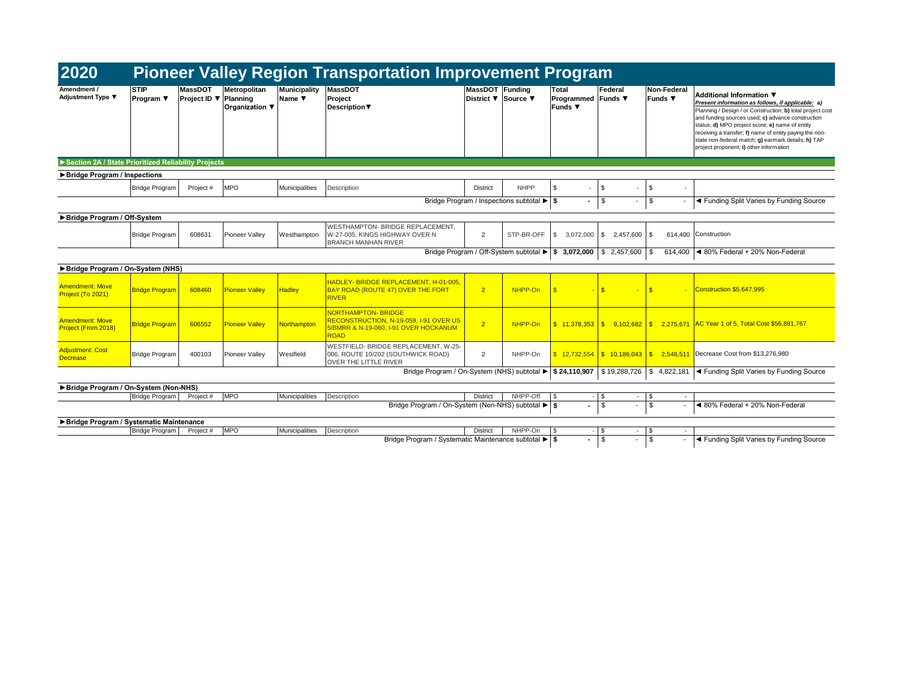| 2020<br><b>Pioneer Valley Region Transportation Improvement Program</b> |                                 |                                                |                                       |                               |                                                                                                                             |                 |                                                     |                                                      |               |              |                               |                                                                                                                                                                                                                                                                                                                                                                                                                  |
|-------------------------------------------------------------------------|---------------------------------|------------------------------------------------|---------------------------------------|-------------------------------|-----------------------------------------------------------------------------------------------------------------------------|-----------------|-----------------------------------------------------|------------------------------------------------------|---------------|--------------|-------------------------------|------------------------------------------------------------------------------------------------------------------------------------------------------------------------------------------------------------------------------------------------------------------------------------------------------------------------------------------------------------------------------------------------------------------|
| Amendment /<br>Adjustment Type ▼                                        | <b>STIP</b><br><b>Program</b> ▼ | <b>MassDOT</b><br><b>Project ID ▼ Planning</b> | Metropolitan<br><b>Organization</b> ▼ | <b>Municipality</b><br>Name ▼ | <b>MassDOT</b><br>Project<br>Description                                                                                    | MassDOT Funding | District <b>▼</b> Source ▼                          | Total<br><b>Programmed Funds</b> ▼<br><b>Funds ▼</b> | Federal       |              | <b>Non-Federal</b><br>Funds ▼ | Additional Information ▼<br>Present information as follows, if applicable: a)<br>Planning / Design / or Construction; b) total project cost<br>and funding sources used; c) advance construction<br>status; d) MPO project score; e) name of entity<br>receiving a transfer; f) name of entity paying the non-<br>state non-federal match; g) earmark details; h) TAP<br>project proponent; i) other information |
| Section 2A / State Prioritized Reliability Projects                     |                                 |                                                |                                       |                               |                                                                                                                             |                 |                                                     |                                                      |               |              |                               |                                                                                                                                                                                                                                                                                                                                                                                                                  |
| ▶ Bridge Program / Inspections                                          |                                 |                                                |                                       |                               |                                                                                                                             |                 |                                                     |                                                      |               |              |                               |                                                                                                                                                                                                                                                                                                                                                                                                                  |
|                                                                         | <b>Bridge Program</b>           | Project #                                      | <b>MPO</b>                            | <b>Municipalities</b>         | Description                                                                                                                 | <b>District</b> | <b>NHPP</b>                                         | \$                                                   | \$            |              | \$<br>$\sim$                  |                                                                                                                                                                                                                                                                                                                                                                                                                  |
|                                                                         |                                 |                                                |                                       |                               |                                                                                                                             |                 | Bridge Program / Inspections subtotal ▶ S           |                                                      | \$.           |              | \$                            | ◀ Funding Split Varies by Funding Source                                                                                                                                                                                                                                                                                                                                                                         |
| Bridge Program / Off-System                                             |                                 |                                                |                                       |                               |                                                                                                                             |                 |                                                     |                                                      |               |              |                               |                                                                                                                                                                                                                                                                                                                                                                                                                  |
|                                                                         | <b>Bridge Program</b>           | 608631                                         | <b>Pioneer Valley</b>                 | Westhampton                   | WESTHAMPTON- BRIDGE REPLACEMENT,<br>W-27-005, KINGS HIGHWAY OVER N<br><b>BRANCH MANHAN RIVER</b>                            | 2               | STP-BR-OFF                                          | \$<br>3,072,000                                      | s.            | 2,457,600 \$ | 614.400                       | Construction                                                                                                                                                                                                                                                                                                                                                                                                     |
|                                                                         |                                 |                                                |                                       |                               |                                                                                                                             |                 | Bridge Program / Off-System subtotal > \$ 3,072,000 |                                                      |               | \$2,457,600  | 614.400<br>\$.                | ◀ 80% Federal + 20% Non-Federal                                                                                                                                                                                                                                                                                                                                                                                  |
| Bridge Program / On-System (NHS)                                        |                                 |                                                |                                       |                               |                                                                                                                             |                 |                                                     |                                                      |               |              |                               |                                                                                                                                                                                                                                                                                                                                                                                                                  |
| <b>Amendment: Move</b><br>Project (To 2021)                             | <b>Bridge Program</b>           | 608460                                         | <b>Pioneer Valley</b>                 | <b>Hadley</b>                 | HADLEY- BRIDGE REPLACEMENT, H-01-005.<br><b>BAY ROAD (ROUTE 47) OVER THE FORT</b><br><b>RIVER</b>                           | $\overline{2}$  | NHPP-On                                             | $\mathbf{s}$                                         | $\mathbf{s}$  |              | \$.                           | Construction \$5,647,995                                                                                                                                                                                                                                                                                                                                                                                         |
| <b>Amendment: Move</b><br>Project (From 2018)                           | <b>Bridge Program</b>           | 606552                                         | Pioneer Valley                        | <b>Northampton</b>            | <b>NORTHAMPTON-BRIDGE</b><br>RECONSTRUCTION, N-19-059, I-91 OVER US<br>5/BMRR & N-19-060, I-91 OVER HOCKANUM<br><b>ROAD</b> | $\overline{2}$  | NHPP-On                                             |                                                      |               |              |                               | \$ 11.378.353 \ \ \$ 9.102.682 \ \ \$ 2.275.671 \ AC Year 1 of 5, Total Cost \$56,891,767                                                                                                                                                                                                                                                                                                                        |
| <b>Adjustment: Cost</b><br><b>Decrease</b>                              | <b>Bridge Program</b>           | 400103                                         | Pioneer Valley                        | Westfield                     | WESTFIELD- BRIDGE REPLACEMENT. W-25-<br>006, ROUTE 10/202 (SOUTHWICK ROAD)<br><b>OVER THE LITTLE RIVER</b>                  | 2               | NHPP-On                                             | $$12.732.554$ $$10.186.043$ $$5$                     |               |              | 2.546.511                     | Decrease Cost from \$13,276,980                                                                                                                                                                                                                                                                                                                                                                                  |
|                                                                         |                                 |                                                |                                       |                               | Bridge Program / On-System (NHS) subtotal $\blacktriangleright$ \$ 24,110,907 \ \$ 19,288,726 \ \$ 4,822,181                |                 |                                                     |                                                      |               |              |                               | ◀ Funding Split Varies by Funding Source                                                                                                                                                                                                                                                                                                                                                                         |
| Bridge Program / On-System (Non-NHS)                                    |                                 |                                                |                                       |                               |                                                                                                                             |                 |                                                     |                                                      |               |              |                               |                                                                                                                                                                                                                                                                                                                                                                                                                  |
|                                                                         | Bridge Program                  | Project #                                      | <b>MPO</b>                            | Municipalities                | Description                                                                                                                 | <b>District</b> | NHPP-Off                                            | $\sqrt{3}$                                           | <b>S</b>      | ÷.           | - \$<br>$\sim$                |                                                                                                                                                                                                                                                                                                                                                                                                                  |
|                                                                         |                                 |                                                |                                       |                               | Bridge Program / On-System (Non-NHS) subtotal ► \$                                                                          |                 |                                                     |                                                      | $\mathcal{F}$ |              | $\mathfrak{L}$                | ◀ 80% Federal + 20% Non-Federal                                                                                                                                                                                                                                                                                                                                                                                  |
| Bridge Program / Systematic Maintenance                                 |                                 |                                                |                                       |                               |                                                                                                                             |                 |                                                     |                                                      |               |              |                               |                                                                                                                                                                                                                                                                                                                                                                                                                  |
|                                                                         | <b>Bridge Program</b>           | Project #                                      | <b>MPO</b>                            | Municipalities                | Description                                                                                                                 | <b>District</b> | NHPP-On                                             | $\mathfrak{L}$                                       | <b>S</b>      | $ \vert$ \$  | $\sim$                        |                                                                                                                                                                                                                                                                                                                                                                                                                  |
|                                                                         |                                 |                                                |                                       |                               | Bridge Program / Systematic Maintenance subtotal ▶ S                                                                        |                 |                                                     |                                                      | \$.           |              | $\mathbf{s}$                  | ◀ Funding Split Varies by Funding Source                                                                                                                                                                                                                                                                                                                                                                         |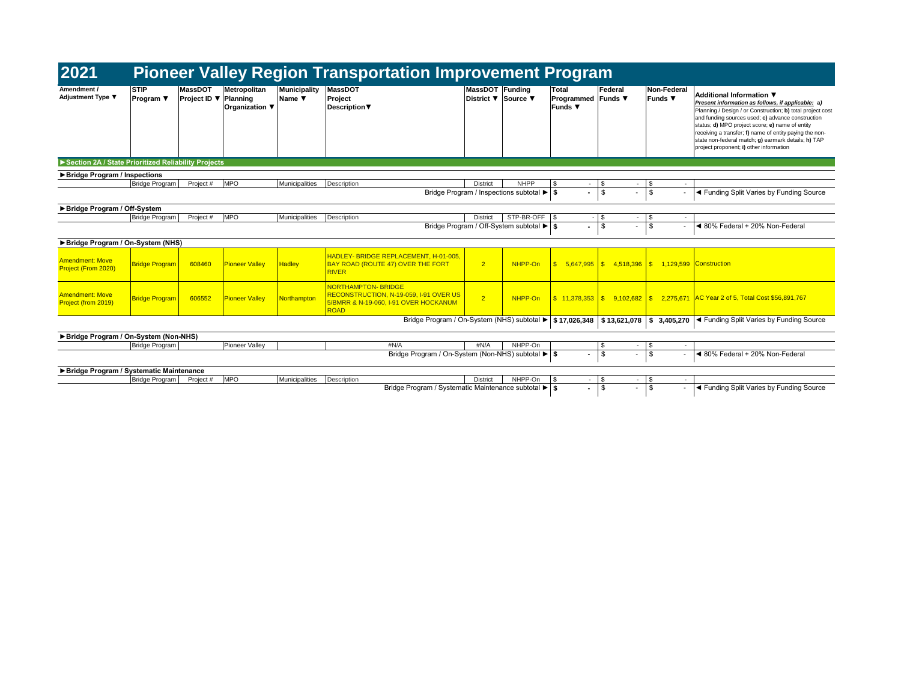| 2021<br><b>Pioneer Valley Region Transportation Improvement Program</b> |                          |                                         |                                |                               |                                                                                                                             |                 |                                           |                                               |                                |                        |                                                                                                                                                                                                                                                                                                                                                                                                                  |
|-------------------------------------------------------------------------|--------------------------|-----------------------------------------|--------------------------------|-------------------------------|-----------------------------------------------------------------------------------------------------------------------------|-----------------|-------------------------------------------|-----------------------------------------------|--------------------------------|------------------------|------------------------------------------------------------------------------------------------------------------------------------------------------------------------------------------------------------------------------------------------------------------------------------------------------------------------------------------------------------------------------------------------------------------|
| Amendment /<br>Adjustment Type ▼                                        | <b>STIP</b><br>Program ▼ | <b>MassDOT</b><br>Project ID ▼ Planning | Metropolitan<br>Organization ▼ | <b>Municipality</b><br>Name ▼ | <b>MassDOT</b><br>Project<br><b>Description</b> ▼                                                                           | MassDOT Funding | District ▼ Source ▼                       | Total<br>Programmed Funds ▼<br><b>Funds</b> ▼ | Federal                        | Non-Federal<br>Funds ▼ | Additional Information ▼<br>Present information as follows, if applicable: a)<br>Planning / Design / or Construction; b) total project cost<br>and funding sources used; c) advance construction<br>status; d) MPO project score; e) name of entity<br>receiving a transfer; f) name of entity paying the non-<br>state non-federal match; g) earmark details; h) TAP<br>project proponent; i) other information |
| Section 2A / State Prioritized Reliability Projects                     |                          |                                         |                                |                               |                                                                                                                             |                 |                                           |                                               |                                |                        |                                                                                                                                                                                                                                                                                                                                                                                                                  |
| ▶ Bridge Program / Inspections                                          |                          |                                         |                                |                               |                                                                                                                             |                 |                                           |                                               |                                |                        |                                                                                                                                                                                                                                                                                                                                                                                                                  |
|                                                                         | Bridge Program           | Project #                               | MPO                            | Municipalities                | Description                                                                                                                 | <b>District</b> | <b>NHPP</b>                               | $\overline{\phantom{a}}$                      | S                              | S<br>$\sim$            |                                                                                                                                                                                                                                                                                                                                                                                                                  |
|                                                                         |                          |                                         |                                |                               |                                                                                                                             |                 | Bridge Program / Inspections subtotal ▶ S |                                               | \$                             | \$                     | ◀ Funding Split Varies by Funding Source                                                                                                                                                                                                                                                                                                                                                                         |
| Bridge Program / Off-System                                             |                          |                                         |                                |                               |                                                                                                                             |                 |                                           |                                               |                                |                        |                                                                                                                                                                                                                                                                                                                                                                                                                  |
|                                                                         | <b>Bridge Program</b>    | Project #                               | <b>MPO</b>                     | Municipalities                | Description                                                                                                                 | <b>District</b> | STP-BR-OFF \$                             |                                               | $\mathbf{s}$<br>$\sim$         | \$<br>$\sim$           |                                                                                                                                                                                                                                                                                                                                                                                                                  |
|                                                                         |                          |                                         |                                |                               |                                                                                                                             |                 | Bridge Program / Off-System subtotal ▶ S  |                                               | \$                             | \$                     | ◀ 80% Federal + 20% Non-Federal                                                                                                                                                                                                                                                                                                                                                                                  |
| Bridge Program / On-System (NHS)                                        |                          |                                         |                                |                               |                                                                                                                             |                 |                                           |                                               |                                |                        |                                                                                                                                                                                                                                                                                                                                                                                                                  |
| <b>Amendment: Move</b><br>Project (From 2020)                           | <b>Bridge Program</b>    | 608460                                  | <b>Pioneer Vallev</b>          | <b>Hadley</b>                 | HADLEY- BRIDGE REPLACEMENT, H-01-005.<br><b>BAY ROAD (ROUTE 47) OVER THE FORT</b><br><b>RIVER</b>                           | 2 <sup>1</sup>  | NHPP-On                                   | $\mathbb{S}$                                  | 4.518.396                      | \$                     | 1.129.599 Construction                                                                                                                                                                                                                                                                                                                                                                                           |
| <b>Amendment: Move</b><br>Project (from 2019)                           | <b>Bridge Program</b>    | 606552                                  | Pioneer Vallev                 | Northampton                   | <b>NORTHAMPTON-BRIDGE</b><br>RECONSTRUCTION, N-19-059, I-91 OVER US<br>5/BMRR & N-19-060, I-91 OVER HOCKANUM<br><b>ROAD</b> | 2 <sup>1</sup>  | NHPP-On                                   |                                               |                                |                        | <u>S  11.378.353 S  9.102.682 S  2.275.671 AC Year 2 of 5, Total Cost \$56,891,767</u>                                                                                                                                                                                                                                                                                                                           |
|                                                                         |                          |                                         |                                |                               | Bridge Program / On-System (NHS) subtotal $\blacktriangleright$ \$ 17,026,348   \$ 13,621,078   \$ 3,405,270                |                 |                                           |                                               |                                |                        | ◀ Funding Split Varies by Funding Source                                                                                                                                                                                                                                                                                                                                                                         |
| Bridge Program / On-System (Non-NHS)                                    |                          |                                         |                                |                               |                                                                                                                             |                 |                                           |                                               |                                |                        |                                                                                                                                                                                                                                                                                                                                                                                                                  |
|                                                                         | <b>Bridge Program</b>    |                                         | Pioneer Vallev                 |                               | #N/A                                                                                                                        | #N/A            | NHPP-On                                   |                                               | -S                             | £.<br><b>COL</b>       |                                                                                                                                                                                                                                                                                                                                                                                                                  |
|                                                                         |                          |                                         |                                |                               | Bridge Program / On-System (Non-NHS) subtotal ▶ \$                                                                          |                 |                                           |                                               | \$                             | $\mathfrak{L}$         | ◀ 80% Federal + 20% Non-Federal                                                                                                                                                                                                                                                                                                                                                                                  |
| Bridge Program / Systematic Maintenance                                 |                          |                                         |                                |                               |                                                                                                                             |                 |                                           |                                               |                                |                        |                                                                                                                                                                                                                                                                                                                                                                                                                  |
|                                                                         | Bridge Program           | Project #                               | <b>MPO</b>                     | Municipalities                | Description                                                                                                                 | <b>District</b> | NHPP-On                                   |                                               | \$                             | £.                     |                                                                                                                                                                                                                                                                                                                                                                                                                  |
|                                                                         |                          |                                         |                                |                               | Bridge Program / Systematic Maintenance subtotal ▶ S                                                                        |                 |                                           |                                               | \$<br>$\overline{\phantom{a}}$ | \$                     | ◀ Funding Split Varies by Funding Source                                                                                                                                                                                                                                                                                                                                                                         |